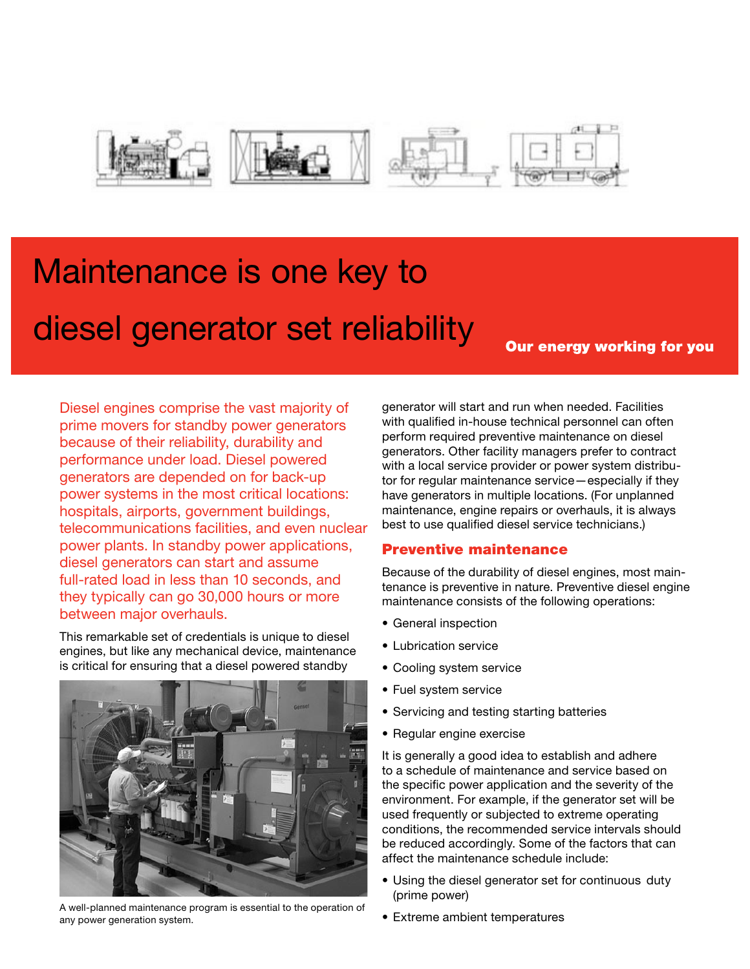

# Maintenance is one key to diesel generator set reliability

**Our energy working for you** 

Diesel engines comprise the vast majority of prime movers for standby power generators because of their reliability, durability and performance under load. Diesel powered generators are depended on for back-up power systems in the most critical locations: hospitals, airports, government buildings, telecommunications facilities, and even nuclear power plants. In standby power applications, diesel generators can start and assume full-rated load in less than 10 seconds, and they typically can go 30,000 hours or more between major overhauls.

This remarkable set of credentials is unique to diesel engines, but like any mechanical device, maintenance is critical for ensuring that a diesel powered standby



A well-planned maintenance program is essential to the operation of any power generation system.

generator will start and run when needed. Facilities with qualified in-house technical personnel can often perform required preventive maintenance on diesel generators. Other facility managers prefer to contract with a local service provider or power system distributor for regular maintenance service—especially if they have generators in multiple locations. (For unplanned maintenance, engine repairs or overhauls, it is always best to use qualified diesel service technicians.)

### Preventive maintenance

Because of the durability of diesel engines, most maintenance is preventive in nature. Preventive diesel engine maintenance consists of the following operations:

- General inspection
- Lubrication service
- Cooling system service
- Fuel system service
- Servicing and testing starting batteries
- Regular engine exercise

It is generally a good idea to establish and adhere to a schedule of maintenance and service based on the specific power application and the severity of the environment. For example, if the generator set will be used frequently or subjected to extreme operating conditions, the recommended service intervals should be reduced accordingly. Some of the factors that can affect the maintenance schedule include:

- Using the diesel generator set for continuous duty (prime power)
- Extreme ambient temperatures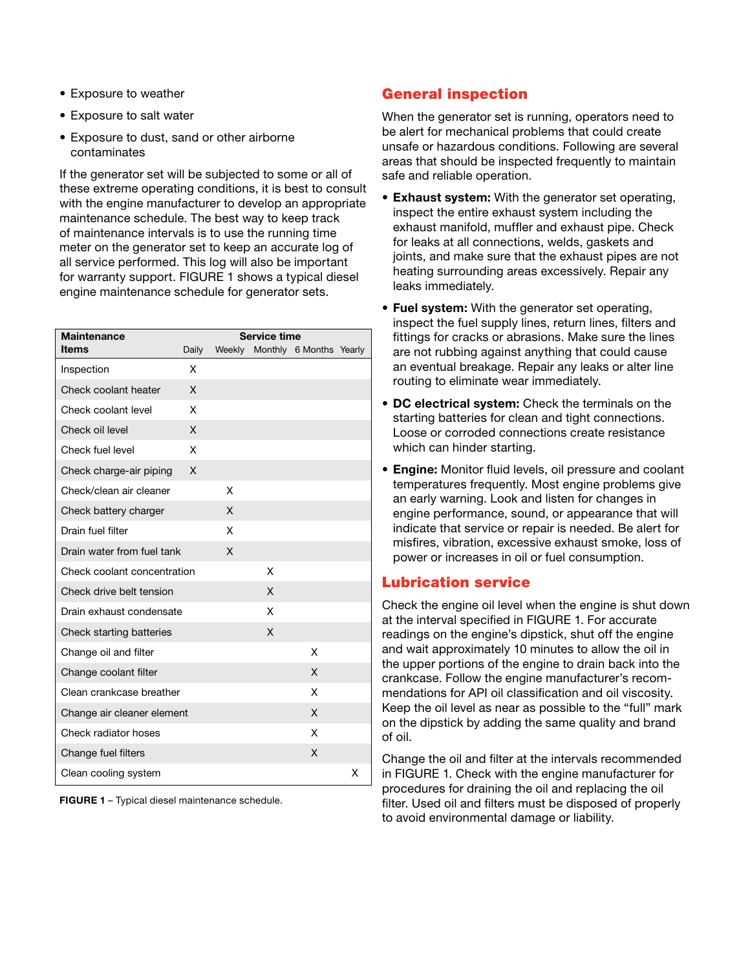- Exposure to weather
- Exposure to salt water
- Exposure to dust, sand or other airborne contaminates

If the generator set will be subjected to some or all of these extreme operating conditions, it is best to consult with the engine manufacturer to develop an appropriate maintenance schedule. The best way to keep track of maintenance intervals is to use the running time meter on the generator set to keep an accurate log of all service performed. This log will also be important for warranty support. FIGURE 1 shows a typical diesel engine maintenance schedule for generator sets.

| <b>Maintenance</b>          | <b>Service time</b> |        |   |                         |   |
|-----------------------------|---------------------|--------|---|-------------------------|---|
| ltems                       | Daily               | Weekly |   | Monthly 6 Months Yearly |   |
| Inspection                  | X                   |        |   |                         |   |
| Check coolant heater        | X                   |        |   |                         |   |
| Check coolant level         | X                   |        |   |                         |   |
| Check oil level             | X                   |        |   |                         |   |
| Check fuel level            | X                   |        |   |                         |   |
| Check charge-air piping     | X                   |        |   |                         |   |
| Check/clean air cleaner     |                     | X      |   |                         |   |
| Check battery charger       |                     | X      |   |                         |   |
| Drain fuel filter           |                     | X      |   |                         |   |
| Drain water from fuel tank  |                     | X      |   |                         |   |
| Check coolant concentration |                     |        | x |                         |   |
| Check drive belt tension    |                     |        | X |                         |   |
| Drain exhaust condensate    |                     |        | X |                         |   |
| Check starting batteries    |                     |        | X |                         |   |
| Change oil and filter       |                     |        |   | x                       |   |
| Change coolant filter       |                     |        |   | X                       |   |
| Clean crankcase breather    |                     |        |   | X                       |   |
| Change air cleaner element  |                     |        |   | X                       |   |
| Check radiator hoses        |                     |        |   | X                       |   |
| Change fuel filters         |                     |        |   | X                       |   |
| Clean cooling system        |                     |        |   |                         | x |

**FIGURE 1** – Typical diesel maintenance schedule.

### General inspection

When the generator set is running, operators need to be alert for mechanical problems that could create unsafe or hazardous conditions. Following are several areas that should be inspected frequently to maintain safe and reliable operation.

- **• Exhaust system:** With the generator set operating, inspect the entire exhaust system including the exhaust manifold, muffler and exhaust pipe. Check for leaks at all connections, welds, gaskets and joints, and make sure that the exhaust pipes are not heating surrounding areas excessively. Repair any leaks immediately.
- **• Fuel system:** With the generator set operating, inspect the fuel supply lines, return lines, filters and fittings for cracks or abrasions. Make sure the lines are not rubbing against anything that could cause an eventual breakage. Repair any leaks or alter line routing to eliminate wear immediately.
- **• DC electrical system:** Check the terminals on the starting batteries for clean and tight connections. Loose or corroded connections create resistance which can hinder starting.
- **• Engine:** Monitor fluid levels, oil pressure and coolant temperatures frequently. Most engine problems give an early warning. Look and listen for changes in engine performance, sound, or appearance that will indicate that service or repair is needed. Be alert for misfires, vibration, excessive exhaust smoke, loss of power or increases in oil or fuel consumption.

### Lubrication service

Check the engine oil level when the engine is shut down at the interval specified in FIGURE 1. For accurate readings on the engine's dipstick, shut off the engine and wait approximately 10 minutes to allow the oil in the upper portions of the engine to drain back into the crankcase. Follow the engine manufacturer's recommendations for API oil classification and oil viscosity. Keep the oil level as near as possible to the "full" mark on the dipstick by adding the same quality and brand of oil.

Change the oil and filter at the intervals recommended in FIGURE 1. Check with the engine manufacturer for procedures for draining the oil and replacing the oil filter. Used oil and filters must be disposed of properly to avoid environmental damage or liability.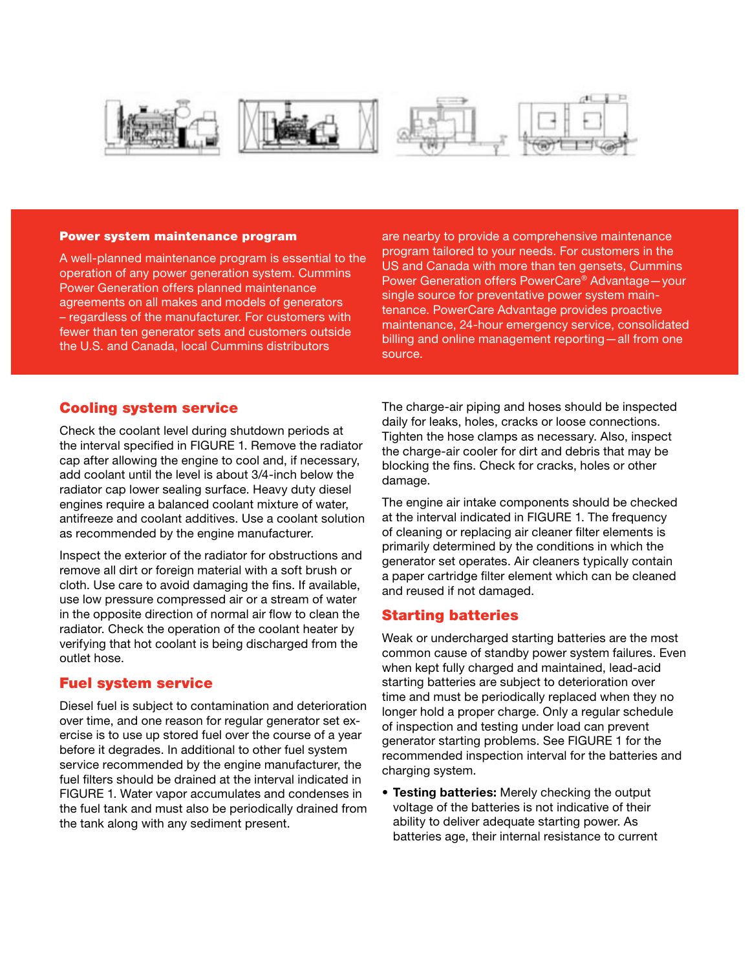







#### Power system maintenance program

A well-planned maintenance program is essential to the operation of any power generation system. Cummins Power Generation offers planned maintenance agreements on all makes and models of generators – regardless of the manufacturer. For customers with fewer than ten generator sets and customers outside the U.S. and Canada, local Cummins distributors

are nearby to provide a comprehensive maintenance program tailored to your needs. For customers in the US and Canada with more than ten gensets, Cummins Power Generation offers PowerCare® Advantage—your single source for preventative power system maintenance. PowerCare Advantage provides proactive maintenance, 24-hour emergency service, consolidated billing and online management reporting—all from one source.

#### Cooling system service

Check the coolant level during shutdown periods at the interval specified in FIGURE 1. Remove the radiator cap after allowing the engine to cool and, if necessary, add coolant until the level is about 3/4-inch below the radiator cap lower sealing surface. Heavy duty diesel engines require a balanced coolant mixture of water, antifreeze and coolant additives. Use a coolant solution as recommended by the engine manufacturer.

Inspect the exterior of the radiator for obstructions and remove all dirt or foreign material with a soft brush or cloth. Use care to avoid damaging the fins. If available, use low pressure compressed air or a stream of water in the opposite direction of normal air flow to clean the radiator. Check the operation of the coolant heater by verifying that hot coolant is being discharged from the outlet hose.

#### Fuel system service

Diesel fuel is subject to contamination and deterioration over time, and one reason for regular generator set exercise is to use up stored fuel over the course of a year before it degrades. In additional to other fuel system service recommended by the engine manufacturer, the fuel filters should be drained at the interval indicated in FIGURE 1. Water vapor accumulates and condenses in the fuel tank and must also be periodically drained from the tank along with any sediment present.

The charge-air piping and hoses should be inspected daily for leaks, holes, cracks or loose connections. Tighten the hose clamps as necessary. Also, inspect the charge-air cooler for dirt and debris that may be blocking the fins. Check for cracks, holes or other damage.

The engine air intake components should be checked at the interval indicated in FIGURE 1. The frequency of cleaning or replacing air cleaner filter elements is primarily determined by the conditions in which the generator set operates. Air cleaners typically contain a paper cartridge filter element which can be cleaned and reused if not damaged.

#### Starting batteries

Weak or undercharged starting batteries are the most common cause of standby power system failures. Even when kept fully charged and maintained, lead-acid starting batteries are subject to deterioration over time and must be periodically replaced when they no longer hold a proper charge. Only a regular schedule of inspection and testing under load can prevent generator starting problems. See FIGURE 1 for the recommended inspection interval for the batteries and charging system.

**• Testing batteries:** Merely checking the output voltage of the batteries is not indicative of their ability to deliver adequate starting power. As batteries age, their internal resistance to current